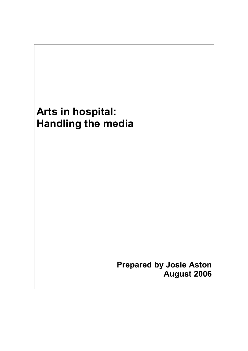# Arts in hospital: Handling the media

Prepared by Josie Aston August 2006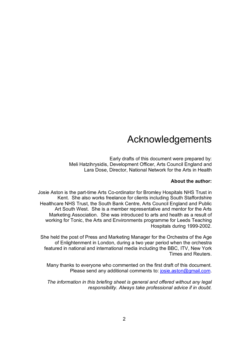## Acknowledgements

Early drafts of this document were prepared by: Meli Hatzihrysidis, Development Officer, Arts Council England and Lara Dose, Director, National Network for the Arts in Health

## About the author:

Josie Aston is the part-time Arts Co-ordinator for Bromley Hospitals NHS Trust in Kent. She also works freelance for clients including South Staffordshire Healthcare NHS Trust, the South Bank Centre, Arts Council England and Public Art South West. She is a member representative and mentor for the Arts Marketing Association. She was introduced to arts and health as a result of working for Tonic, the Arts and Environments programme for Leeds Teaching Hospitals during 1999-2002.

She held the post of Press and Marketing Manager for the Orchestra of the Age of Enlightenment in London, during a two year period when the orchestra featured in national and international media including the BBC, ITV, New York Times and Reuters.

Many thanks to everyone who commented on the first draft of this document. Please send any additional comments to: josie.aston@gmail.com.

The information in this briefing sheet is general and offered without any legal responsibility. Always take professional advice if in doubt.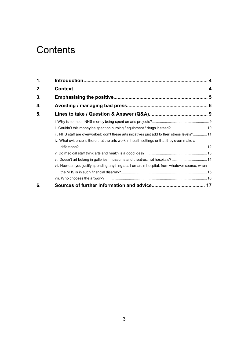## **Contents**

| 1. |                                                                                                  |  |
|----|--------------------------------------------------------------------------------------------------|--|
| 2. |                                                                                                  |  |
| 3. |                                                                                                  |  |
| 4. |                                                                                                  |  |
| 5. |                                                                                                  |  |
|    |                                                                                                  |  |
|    | ii. Couldn't this money be spent on nursing / equipment / drugs instead? 10                      |  |
|    | iii. NHS staff are overworked; don't these arts initiatives just add to their stress levels? 11  |  |
|    | iv. What evidence is there that the arts work in health settings or that they even make a        |  |
|    |                                                                                                  |  |
|    |                                                                                                  |  |
|    | vi. Doesn't art belong in galleries, museums and theatres, not hospitals? 14                     |  |
|    | vii. How can you justify spending anything at all on art in hospital, from whatever source, when |  |
|    |                                                                                                  |  |
|    |                                                                                                  |  |
| 6. |                                                                                                  |  |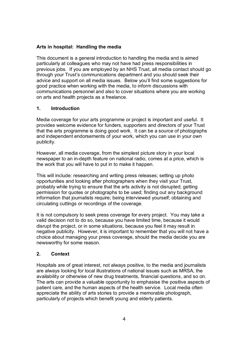## Arts in hospital: Handling the media

This document is a general introduction to handling the media and is aimed particularly at colleagues who may not have had press responsibilities in previous jobs. If you are employed by an NHS Trust, all media contact should go through your Trust's communications department and you should seek their advice and support on all media issues. Below you'll find some suggestions for good practice when working with the media, to inform discussions with communications personnel and also to cover situations where you are working on arts and health projects as a freelance.

## 1. Introduction

Media coverage for your arts programme or project is important and useful. It provides welcome evidence for funders, supporters and directors of your Trust that the arts programme is doing good work. It can be a source of photographs and independent endorsements of your work, which you can use in your own publicity.

However, all media coverage, from the simplest picture story in your local newspaper to an in-depth feature on national radio, comes at a price, which is the work that you will have to put in to make it happen.

This will include: researching and writing press releases; setting up photo opportunities and looking after photographers when they visit your Trust, probably while trying to ensure that the arts activity is not disrupted; getting permission for quotes or photographs to be used; finding out any background information that journalists require; being interviewed yourself; obtaining and circulating cuttings or recordings of the coverage.

It is not compulsory to seek press coverage for every project. You may take a valid decision not to do so, because you have limited time, because it would disrupt the project, or in some situations, because you feel it may result in negative publicity. However, it is important to remember that you will not have a choice about managing your press coverage, should the media decide you are newsworthy for some reason.

## 2. Context

Hospitals are of great interest, not always positive, to the media and journalists are always looking for local illustrations of national issues such as MRSA, the availability or otherwise of new drug treatments, financial questions, and so on. The arts can provide a valuable opportunity to emphasise the positive aspects of patient care, and the human aspects of the health service. Local media often appreciate the ability of arts stories to provide a memorable photograph, particularly of projects which benefit young and elderly patients.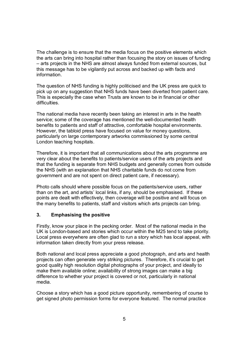The challenge is to ensure that the media focus on the positive elements which the arts can bring into hospital rather than focusing the story on issues of funding – arts projects in the NHS are almost always funded from external sources, but this message has to be vigilantly put across and backed up with facts and information.

The question of NHS funding is highly politicised and the UK press are quick to pick up on any suggestion that NHS funds have been diverted from patient care. This is especially the case when Trusts are known to be in financial or other difficulties.

The national media have recently been taking an interest in arts in the health service; some of the coverage has mentioned the well-documented health benefits to patients and staff of attractive, comfortable hospital environments. However, the tabloid press have focused on value for money questions, particularly on large contemporary artworks commissioned by some central London teaching hospitals.

Therefore, it is important that all communications about the arts programme are very clear about the benefits to patients/service users of the arts projects and that the funding is separate from NHS budgets and generally comes from outside the NHS (with an explanation that NHS charitable funds do not come from government and are not spent on direct patient care, if necessary).

Photo calls should where possible focus on the patients/service users, rather than on the art, and artists' local links, if any, should be emphasised. If these points are dealt with effectively, then coverage will be positive and will focus on the many benefits to patients, staff and visitors which arts projects can bring.

## 3. Emphasising the positive

Firstly, know your place in the pecking order. Most of the national media in the UK is London-based and stories which occur within the M25 tend to take priority. Local press everywhere are often glad to run a story which has local appeal, with information taken directly from your press release.

Both national and local press appreciate a good photograph, and arts and health projects can often generate very striking pictures. Therefore, it's crucial to get good quality high resolution digital photographs of your project, and ideally to make them available online; availability of strong images can make a big difference to whether your project is covered or not, particularly in national media.

Choose a story which has a good picture opportunity, remembering of course to get signed photo permission forms for everyone featured. The normal practice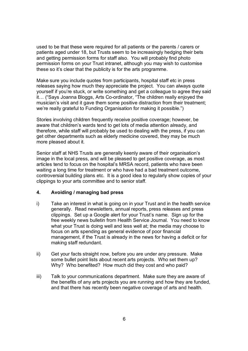used to be that these were required for all patients or the parents / carers or patients aged under 18, but Trusts seem to be increasingly hedging their bets and getting permission forms for staff also. You will probably find photo permission forms on your Trust intranet, although you may wish to customise these so it's clear that the publicity is for the arts programme.

Make sure you include quotes from participants, hospital staff etc in press releases saying how much they appreciate the project. You can always quote yourself if you're stuck, or write something and get a colleague to agree they said it… ("Says Joanna Bloggs, Arts Co-ordinator, "The children really enjoyed the musician's visit and it gave them some positive distraction from their treatment; we're really grateful to Funding Organisation for making it possible.")

Stories involving children frequently receive positive coverage; however, be aware that children's wards tend to get lots of media attention already, and therefore, while staff will probably be used to dealing with the press, if you can get other departments such as elderly medicine covered, they may be much more pleased about it.

Senior staff at NHS Trusts are generally keenly aware of their organisation's image in the local press, and will be pleased to get positive coverage, as most articles tend to focus on the hospital's MRSA record, patients who have been waiting a long time for treatment or who have had a bad treatment outcome, controversial building plans etc. It is a good idea to regularly show copies of your clippings to your arts committee and to senior staff.

## 4. Avoiding / managing bad press

- i) Take an interest in what is going on in your Trust and in the health service generally. Read newsletters, annual reports, press releases and press clippings. Set up a Google alert for your Trust's name. Sign up for the free weekly news bulletin from Health Service Journal. You need to know what your Trust is doing well and less well at; the media may choose to focus on arts spending as general evidence of poor financial management, if the Trust is already in the news for having a deficit or for making staff redundant.
- ii) Get your facts straight now, before you are under any pressure. Make some bullet point lists about recent arts projects. Who set them up? Why? Who benefited? How much did they cost and who paid?
- iii) Talk to your communications department. Make sure they are aware of the benefits of any arts projects you are running and how they are funded, and that there has recently been negative coverage of arts and health.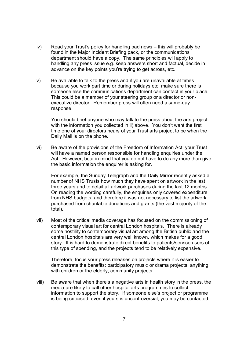- iv) Read your Trust's policy for handling bad news this will probably be found in the Major Incident Briefing pack, or the communications department should have a copy. The same principles will apply to handling any press issue e.g. keep answers short and factual, decide in advance on the key points you're trying to get across, etc.
- v) Be available to talk to the press and if you are unavailable at times because you work part time or during holidays etc, make sure there is someone else the communications department can contact in your place. This could be a member of your steering group or a director or nonexecutive director. Remember press will often need a same-day response.

You should brief anyone who may talk to the press about the arts project with the information you collected in ii) above. You don't want the first time one of your directors hears of your Trust arts project to be when the Daily Mail is on the phone.

vi) Be aware of the provisions of the Freedom of Information Act; your Trust will have a named person responsible for handling enquiries under the Act. However, bear in mind that you do not have to do any more than give the basic information the enquirer is asking for.

For example, the Sunday Telegraph and the Daily Mirror recently asked a number of NHS Trusts how much they have spent on artwork in the last three years and to detail all artwork purchases during the last 12 months. On reading the wording carefully, the enquiries only covered expenditure from NHS budgets, and therefore it was not necessary to list the artwork purchased from charitable donations and grants (the vast majority of the total).

vii) Most of the critical media coverage has focused on the commissioning of contemporary visual art for central London hospitals. There is already some hostility to contemporary visual art among the British public and the central London hospitals are very well known, which makes for a good story. It is hard to demonstrate direct benefits to patients/service users of this type of spending, and the projects tend to be relatively expensive.

Therefore, focus your press releases on projects where it is easier to demonstrate the benefits: participatory music or drama projects, anything with children or the elderly, community projects.

viii) Be aware that when there's a negative arts in health story in the press, the media are likely to call other hospital arts programmes to collect information to support the story. If someone else's project or programme is being criticised, even if yours is uncontroversial, you may be contacted,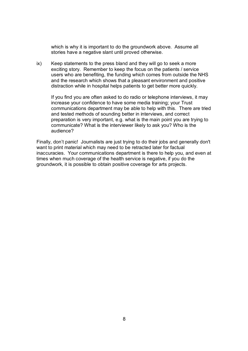which is why it is important to do the groundwork above. Assume all stories have a negative slant until proved otherwise.

ix) Keep statements to the press bland and they will go to seek a more exciting story. Remember to keep the focus on the patients / service users who are benefiting, the funding which comes from outside the NHS and the research which shows that a pleasant environment and positive distraction while in hospital helps patients to get better more quickly.

If you find you are often asked to do radio or telephone interviews, it may increase your confidence to have some media training; your Trust communications department may be able to help with this. There are tried and tested methods of sounding better in interviews, and correct preparation is very important, e.g. what is the main point you are trying to communicate? What is the interviewer likely to ask you? Who is the audience?

Finally, don't panic! Journalists are just trying to do their jobs and generally don't want to print material which may need to be retracted later for factual inaccuracies. Your communications department is there to help you, and even at times when much coverage of the health service is negative, if you do the groundwork, it is possible to obtain positive coverage for arts projects.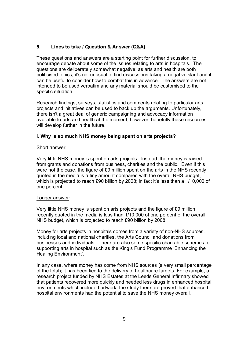## 5. Lines to take / Question & Answer (Q&A)

These questions and answers are a starting point for further discussion, to encourage debate about some of the issues relating to arts in hospitals. The questions are deliberately somewhat negative; as arts and health are both politicised topics, it's not unusual to find discussions taking a negative slant and it can be useful to consider how to combat this in advance. The answers are not intended to be used verbatim and any material should be customised to the specific situation.

Research findings, surveys, statistics and comments relating to particular arts projects and initiatives can be used to back up the arguments. Unfortunately, there isn't a great deal of generic campaigning and advocacy information available to arts and health at the moment, however, hopefully these resources will develop further in the future.

## i. Why is so much NHS money being spent on arts projects?

#### Short answer:

Very little NHS money is spent on arts projects. Instead, the money is raised from grants and donations from business, charities and the public. Even if this were not the case, the figure of £9 million spent on the arts in the NHS recently quoted in the media is a tiny amount compared with the overall NHS budget, which is projected to reach £90 billion by 2008; in fact it's less than a 1/10,000 of one percent.

#### Longer answer:

Very little NHS money is spent on arts projects and the figure of £9 million recently quoted in the media is less than 1/10,000 of one percent of the overall NHS budget, which is projected to reach £90 billion by 2008.

Money for arts projects in hospitals comes from a variety of non-NHS sources, including local and national charities, the Arts Council and donations from businesses and individuals. There are also some specific charitable schemes for supporting arts in hospital such as the King's Fund Programme 'Enhancing the Healing Environment'.

In any case, where money has come from NHS sources (a very small percentage of the total); it has been tied to the delivery of healthcare targets. For example, a research project funded by NHS Estates at the Leeds General Infirmary showed that patients recovered more quickly and needed less drugs in enhanced hospital environments which included artwork; the study therefore proved that enhanced hospital environments had the potential to save the NHS money overall.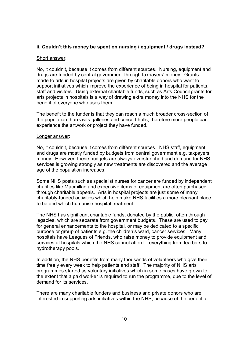## ii. Couldn't this money be spent on nursing / equipment / drugs instead?

#### Short answer:

No, it couldn't, because it comes from different sources. Nursing, equipment and drugs are funded by central government through taxpayers' money. Grants made to arts in hospital projects are given by charitable donors who want to support initiatives which improve the experience of being in hospital for patients, staff and visitors. Using external charitable funds, such as Arts Council grants for arts projects in hospitals is a way of drawing extra money into the NHS for the benefit of everyone who uses them.

The benefit to the funder is that they can reach a much broader cross-section of the population than visits galleries and concert halls, therefore more people can experience the artwork or project they have funded.

#### Longer answer:

No, it couldn't, because it comes from different sources. NHS staff, equipment and drugs are mostly funded by budgets from central government e.g. taxpayers' money. However, these budgets are always overstretched and demand for NHS services is growing strongly as new treatments are discovered and the average age of the population increases.

Some NHS posts such as specialist nurses for cancer are funded by independent charities like Macmillan and expensive items of equipment are often purchased through charitable appeals. Arts in hospital projects are just some of many charitably-funded activities which help make NHS facilities a more pleasant place to be and which humanise hospital treatment.

The NHS has significant charitable funds, donated by the public, often through legacies, which are separate from government budgets. These are used to pay for general enhancements to the hospital, or may be dedicated to a specific purpose or group of patients e.g. the children's ward, cancer services. Many hospitals have Leagues of Friends, who raise money to provide equipment and services at hospitals which the NHS cannot afford – everything from tea bars to hydrotherapy pools.

In addition, the NHS benefits from many thousands of volunteers who give their time freely every week to help patients and staff. The majority of NHS arts programmes started as voluntary initiatives which in some cases have grown to the extent that a paid worker is required to run the programme, due to the level of demand for its services.

There are many charitable funders and business and private donors who are interested in supporting arts initiatives within the NHS, because of the benefit to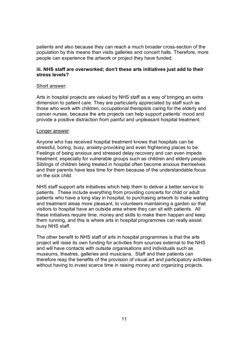patients and also because they can reach a much broader cross-section of the population by this means than visits galleries and concert halls. Therefore, more people can experience the artwork or project they have funded.

## iii. NHS staff are overworked; don't these arts initiatives just add to their stress levels?

## Short answer:

Arts in hospital projects are valued by NHS staff as a way of bringing an extra dimension to patient care. They are particularly appreciated by staff such as those who work with children, occupational therapists caring for the elderly and cancer nurses, because the arts projects can help support patients' mood and provide a positive distraction from painful and unpleasant hospital treatment.

## Longer answer:

Anyone who has received hospital treatment knows that hospitals can be stressful, boring, busy, anxiety-provoking and even frightening places to be. Feelings of being anxious and stressed delay recovery and can even impede treatment, especially for vulnerable groups such as children and elderly people. Siblings of children being treated in hospital often become anxious themselves and their parents have less time for them because of the understandable focus on the sick child.

NHS staff support arts initiatives which help them to deliver a better service to patients. These include everything from providing concerts for child or adult patients who have a long stay in hospital, to purchasing artwork to make waiting and treatment areas more pleasant, to volunteers maintaining a garden so that visitors to hospital have an outside area where they can sit with patients. All these initiatives require time, money and skills to make them happen and keep them running, and this is where arts in hospital programmes can really assist busy NHS staff.

The other benefit to NHS staff of arts in hospital programmes is that the arts project will raise its own funding for activities from sources external to the NHS and will have contacts with outside organisations and individuals such as museums, theatres, galleries and musicians. Staff and their patients can therefore reap the benefits of the provision of visual art and participatory activities without having to invest scarce time in raising money and organizing projects.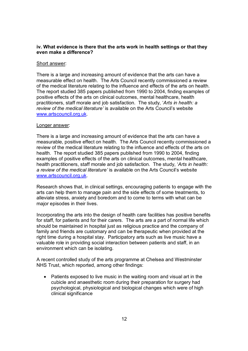## iv. What evidence is there that the arts work in health settings or that they even make a difference?

#### Short answer:

There is a large and increasing amount of evidence that the arts can have a measurable effect on health. The Arts Council recently commissioned a review of the medical literature relating to the influence and effects of the arts on health. The report studied 385 papers published from 1990 to 2004, finding examples of positive effects of the arts on clinical outcomes, mental healthcare, health practitioners, staff morale and job satisfaction. The study, 'Arts in health: a review of the medical literature' is available on the Arts Council's website www.artscouncil.org.uk.

#### Longer answer:

There is a large and increasing amount of evidence that the arts can have a measurable, positive effect on health. The Arts Council recently commissioned a review of the medical literature relating to the influence and effects of the arts on health. The report studied 385 papers published from 1990 to 2004, finding examples of positive effects of the arts on clinical outcomes, mental healthcare, health practitioners, staff morale and job satisfaction. The study, 'Arts in health: a review of the medical literature' is available on the Arts Council's website www.artscouncil.org.uk.

Research shows that, in clinical settings, encouraging patients to engage with the arts can help them to manage pain and the side effects of some treatments, to alleviate stress, anxiety and boredom and to come to terms with what can be major episodes in their lives.

Incorporating the arts into the design of health care facilities has positive benefits for staff, for patients and for their carers. The arts are a part of normal life which should be maintained in hospital just as religious practice and the company of family and friends are customary and can be therapeutic when provided at the right time during a hospital stay. Participatory arts such as live music have a valuable role in providing social interaction between patients and staff, in an environment which can be isolating.

A recent controlled study of the arts programme at Chelsea and Westminster NHS Trust, which reported, among other findings:

• Patients exposed to live music in the waiting room and visual art in the cubicle and anaesthetic room during their preparation for surgery had psychological, physiological and biological changes which were of high clinical significance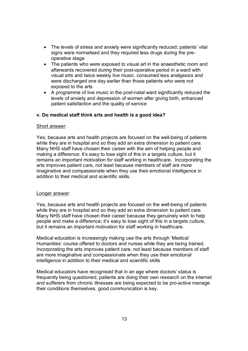- The levels of stress and anxiety were significantly reduced; patients' vital signs were normalised and they required less drugs during the preoperative stage
- The patients who were exposed to visual art in the anaesthetic room and afterwards recovered during their post-operative period in a ward with visual arts and twice weekly live music, consumed less analgesics and were discharged one day earlier than those patients who were not exposed to the arts
- A programme of live music in the post-natal ward significantly reduced the levels of anxiety and depression of women after giving birth, enhanced patient satisfaction and the quality of service

## v. Do medical staff think arts and health is a good idea?

#### Short answer:

Yes, because arts and health projects are focused on the well-being of patients while they are in hospital and so they add an extra dimension to patient care. Many NHS staff have chosen their career with the aim of helping people and making a difference; it's easy to lose sight of this in a targets culture, but it remains an important motivation for staff working in healthcare. Incorporating the arts improves patient care, not least because members of staff are more imaginative and compassionate when they use their emotional intelligence in addition to their medical and scientific skills.

## Longer answer:

Yes, because arts and health projects are focused on the well-being of patients while they are in hospital and so they add an extra dimension to patient care. Many NHS staff have chosen their career because they genuinely wish to help people and make a difference; it's easy to lose sight of this in a targets culture, but it remains an important motivation for staff working in healthcare.

Medical education is increasingly making use the arts through 'Medical Humanities' course offered to doctors and nurses while they are being trained. Incorporating the arts improves patient care, not least because members of staff are more imaginative and compassionate when they use their emotional intelligence in addition to their medical and scientific skills

Medical educators have recognised that in an age where doctors' status is frequently being questioned, patients are doing their own research on the internet and sufferers from chronic illnesses are being expected to be pro-active manage their conditions themselves, good communication is key.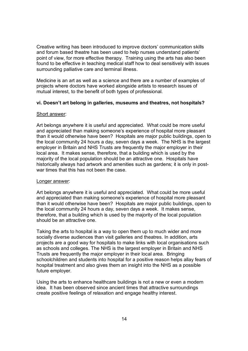Creative writing has been introduced to improve doctors' communication skills and forum based theatre has been used to help nurses understand patients' point of view, for more effective therapy. Training using the arts has also been found to be effective in teaching medical staff how to deal sensitively with issues surrounding palliative care and terminal illness.

Medicine is an art as well as a science and there are a number of examples of projects where doctors have worked alongside artists to research issues of mutual interest, to the benefit of both types of professional.

## vi. Doesn't art belong in galleries, museums and theatres, not hospitals?

## Short answer:

Art belongs anywhere it is useful and appreciated. What could be more useful and appreciated than making someone's experience of hospital more pleasant than it would otherwise have been? Hospitals are major public buildings, open to the local community 24 hours a day, seven days a week. The NHS is the largest employer in Britain and NHS Trusts are frequently the major employer in their local area. It makes sense, therefore, that a building which is used by the majority of the local population should be an attractive one. Hospitals have historically always had artwork and amenities such as gardens; it is only in postwar times that this has not been the case.

## Longer answer:

Art belongs anywhere it is useful and appreciated. What could be more useful and appreciated than making someone's experience of hospital more pleasant than it would otherwise have been? Hospitals are major public buildings, open to the local community 24 hours a day, seven days a week. It makes sense, therefore, that a building which is used by the majority of the local population should be an attractive one.

Taking the arts to hospital is a way to open them up to much wider and more socially diverse audiences than visit galleries and theatres. In addition, arts projects are a good way for hospitals to make links with local organisations such as schools and colleges. The NHS is the largest employer in Britain and NHS Trusts are frequently the major employer in their local area. Bringing schoolchildren and students into hospital for a positive reason helps allay fears of hospital treatment and also gives them an insight into the NHS as a possible future employer.

Using the arts to enhance healthcare buildings is not a new or even a modern idea. It has been observed since ancient times that attractive surroundings create positive feelings of relaxation and engage healthy interest.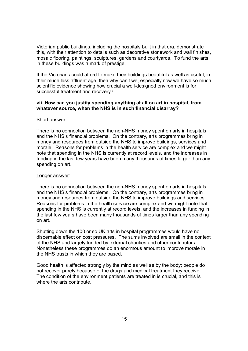Victorian public buildings, including the hospitals built in that era, demonstrate this, with their attention to details such as decorative stonework and wall finishes, mosaic flooring, paintings, sculptures, gardens and courtyards. To fund the arts in these buildings was a mark of prestige.

If the Victorians could afford to make their buildings beautiful as well as useful, in their much less affluent age, then why can't we, especially now we have so much scientific evidence showing how crucial a well-designed environment is for successful treatment and recovery?

### vii. How can you justify spending anything at all on art in hospital, from whatever source, when the NHS is in such financial disarray?

#### Short answer:

There is no connection between the non-NHS money spent on arts in hospitals and the NHS's financial problems. On the contrary, arts programmes bring in money and resources from outside the NHS to improve buildings, services and morale. Reasons for problems in the health service are complex and we might note that spending in the NHS is currently at record levels, and the increases in funding in the last few years have been many thousands of times larger than any spending on art.

#### Longer answer:

There is no connection between the non-NHS money spent on arts in hospitals and the NHS's financial problems. On the contrary, arts programmes bring in money and resources from outside the NHS to improve buildings and services. Reasons for problems in the health service are complex and we might note that spending in the NHS is currently at record levels, and the increases in funding in the last few years have been many thousands of times larger than any spending on art.

Shutting down the 100 or so UK arts in hospital programmes would have no discernable effect on cost pressures. The sums involved are small in the context of the NHS and largely funded by external charities and other contributors. Nonetheless these programmes do an enormous amount to improve morale in the NHS trusts in which they are based.

Good health is affected strongly by the mind as well as by the body; people do not recover purely because of the drugs and medical treatment they receive. The condition of the environment patients are treated in is crucial, and this is where the arts contribute.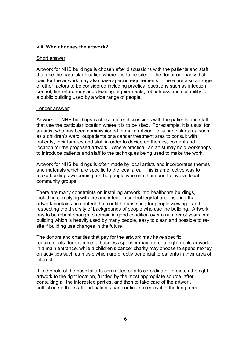#### viii. Who chooses the artwork?

#### Short answer:

Artwork for NHS buildings is chosen after discussions with the patients and staff that use the particular location where it is to be sited. The donor or charity that paid for the artwork may also have specific requirements. There are also a range of other factors to be considered including practical questions such as infection control, fire retardancy and cleaning requirements, robustness and suitability for a public building used by a wide range of people.

#### Longer answer:

Artwork for NHS buildings is chosen after discussions with the patients and staff that use the particular location where it is to be sited. For example, it is usual for an artist who has been commissioned to make artwork for a particular area such as a children's ward, outpatients or a cancer treatment area to consult with patients, their families and staff in order to decide on themes, content and location for the proposed artwork. Where practical, an artist may hold workshops to introduce patients and staff to the techniques being used to make the work.

Artwork for NHS buildings is often made by local artists and incorporates themes and materials which are specific to the local area. This is an effective way to make buildings welcoming for the people who use them and to involve local community groups.

There are many constraints on installing artwork into healthcare buildings, including complying with fire and infection control legislation, ensuring that artwork contains no content that could be upsetting for people viewing it and respecting the diversity of backgrounds of people who use the building. Artwork has to be robust enough to remain in good condition over a number of years in a building which is heavily used by many people, easy to clean and possible to resite if building use changes in the future.

The donors and charities that pay for the artwork may have specific requirements, for example, a business sponsor may prefer a high-profile artwork in a main entrance, while a children's cancer charity may choose to spend money on activities such as music which are directly beneficial to patients in their area of interest.

It is the role of the hospital arts committee or arts co-ordinator to match the right artwork to the right location, funded by the most appropriate source, after consulting all the interested parties, and then to take care of the artwork collection so that staff and patients can continue to enjoy it in the long term.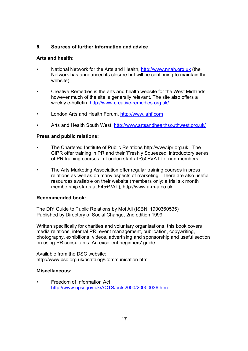## 6. Sources of further information and advice

## Arts and health:

- National Network for the Arts and Health, http://www.nnah.org.uk (the Network has announced its closure but will be continuing to maintain the website)
- Creative Remedies is the arts and health website for the West Midlands, however much of the site is generally relevant. The site also offers a weekly e-bulletin. http://www.creative-remedies.org.uk/
- London Arts and Health Forum, http://www.lahf.com
- Arts and Health South West, http://www.artsandhealthsouthwest.org.uk/

## Press and public relations:

- The Chartered Institute of Public Relations http://www.ipr.org.uk. The CIPR offer training in PR and their 'Freshly Squeezed' introductory series of PR training courses in London start at £50+VAT for non-members.
- The Arts Marketing Association offer regular training courses in press relations as well as on many aspects of marketing. There are also useful resources available on their website (members only: a trial six month membership starts at £45+VAT), http://www.a-m-a.co.uk.

## Recommended book:

The DIY Guide to Public Relations by Moi Ali (ISBN: 1900360535) Published by Directory of Social Change, 2nd edition 1999

Written specifically for charities and voluntary organisations, this book covers media relations, internal PR, event management, publication, copywriting, photography, exhibitions, videos, advertising and sponsorship and useful section on using PR consultants. An excellent beginners' guide.

Available from the DSC website: http://www.dsc.org.uk/acatalog/Communication.html

## Miscellaneous:

• Freedom of Information Act http://www.opsi.gov.uk/ACTS/acts2000/20000036.htm